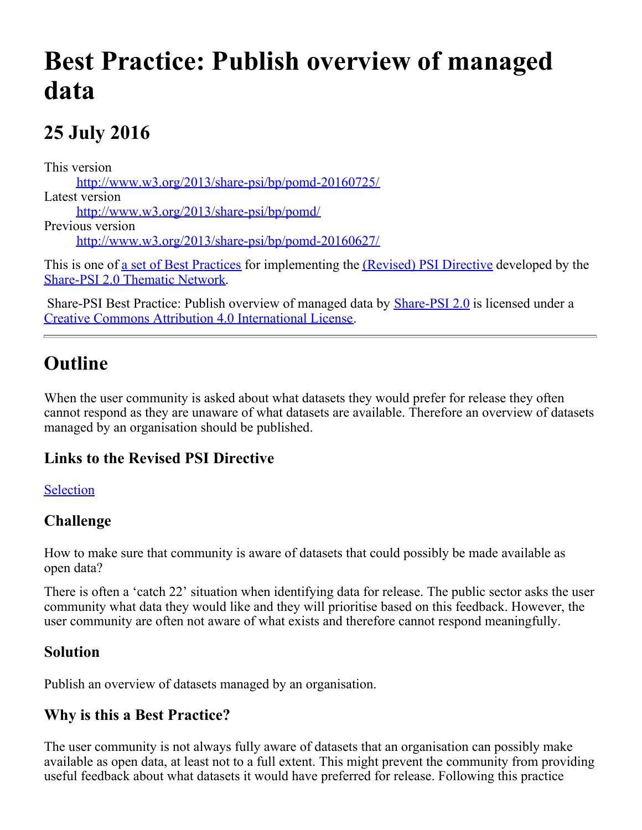# **Best Practice: Publish overview of managed data**

# **25 July 2016**

This version [http://www.w3.org/2013/share-psi/bp/pomd-20160725/](https://www.w3.org/2013/share-psi/bp/pomd-20160725/) Latest version [http://www.w3.org/2013/share-psi/bp/pomd/](https://www.w3.org/2013/share-psi/bp/pomd/) Previous version [http://www.w3.org/2013/share-psi/bp/pomd-20160627/](https://www.w3.org/2013/share-psi/bp/pomd-20160627/)

This is one of <u>a set of Best Practices</u> for implementing the *(Revised)* PSI Directive developed by the [Share-PSI 2.0 Thematic Network](http://www.w3.org/2013/share-psi/).

Share-PSI Best Practice: Publish overview of managed data by **[Share-PSI 2.0](http://www.w3.org/2013/share-psi/)** is licensed under a [Creative Commons Attribution 4.0 International License](http://creativecommons.org/licenses/by/4.0/).

## **Outline**

When the user community is asked about what datasets they would prefer for release they often cannot respond as they are unaware of what datasets are available. Therefore an overview of datasets managed by an organisation should be published.

#### **Links to the Revised PSI Directive**

#### [Selection](https://www.w3.org/2013/share-psi/bp/selection/)

#### **Challenge**

How to make sure that community is aware of datasets that could possibly be made available as open data?

There is often a 'catch 22' situation when identifying data for release. The public sector asks the user community what data they would like and they will prioritise based on this feedback. However, the user community are often not aware of what exists and therefore cannot respond meaningfully.

#### **Solution**

Publish an overview of datasets managed by an organisation.

#### **Why is this a Best Practice?**

The user community is not always fully aware of datasets that an organisation can possibly make available as open data, at least not to a full extent. This might prevent the community from providing useful feedback about what datasets it would have preferred for release. Following this practice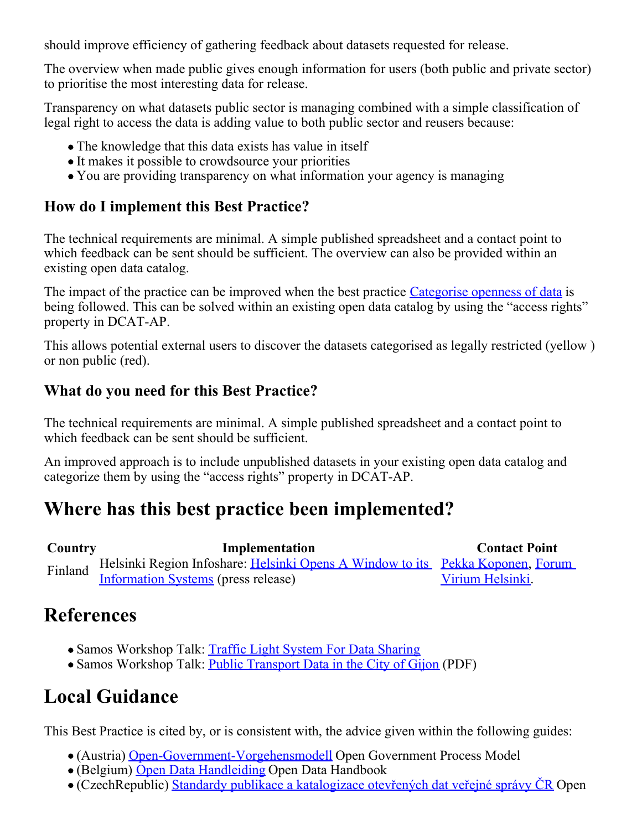should improve efficiency of gathering feedback about datasets requested for release.

The overview when made public gives enough information for users (both public and private sector) to prioritise the most interesting data for release.

Transparency on what datasets public sector is managing combined with a simple classification of legal right to access the data is adding value to both public sector and reusers because:

- The knowledge that this data exists has value in itself
- It makes it possible to crowdsource your priorities
- You are providing transparency on what information your agency is managing

#### **How do I implement this Best Practice?**

The technical requirements are minimal. A simple published spreadsheet and a contact point to which feedback can be sent should be sufficient. The overview can also be provided within an existing open data catalog.

The impact of the practice can be improved when the best practice [Categorise openness of data](https://www.w3.org/2013/share-psi/bp/cas/) is being followed. This can be solved within an existing open data catalog by using the "access rights" property in DCAT-AP.

This allows potential external users to discover the datasets categorised as legally restricted (yellow ) or non public (red).

#### **What do you need for this Best Practice?**

The technical requirements are minimal. A simple published spreadsheet and a contact point to which feedback can be sent should be sufficient.

An improved approach is to include unpublished datasets in your existing open data catalog and categorize them by using the "access rights" property in DCAT-AP.

### **Where has this best practice been implemented?**

**Country Implementation Contact Point** Finland Helsinki Region Infoshare: <u>Helsinki Opens A Window to its</u> [Pekka Koponen](mailto:pekka.koponen@forumvirium.fi), [Forum](http://intra961:8500/edp/parse-bp/forumvirium.fi) [Information Systems](http://www.hri.fi/en/news/helsinki-opens-a-window-to-its-information-systems/) (press release) [Virium Helsinki](http://intra961:8500/edp/parse-bp/forumvirium.fi).

### **References**

- Samos Workshop Talk: [Traffic Light System For Data Sharing](https://www.w3.org/2013/share-psi/workshop/samos/report#difi)
- Samos Workshop Talk: [Public Transport Data in the City of Gijon](https://www.w3.org/2013/share-psi/wiki/images/8/88/SharePSI-ODF-Samos0714-V1.pdf) (PDF)

### **Local Guidance**

This Best Practice is cited by, or is consistent with, the advice given within the following guides:

- (Austria) [Open-Government-Vorgehensmodell](https://www.w3.org/2013/share-psi/lg/Austria#wnGuide) Open Government Process Model
- (Belgium) [Open Data Handleiding](https://www.w3.org/2013/share-psi/lg/Belgium#vlGuide) Open Data Handbook
- (CzechRepublic) [Standardy publikace a katalogizace otevřených dat veřejné správy ČR](https://www.w3.org/2013/share-psi/lg/CzechRepublic#czOpenDataStandards) Open